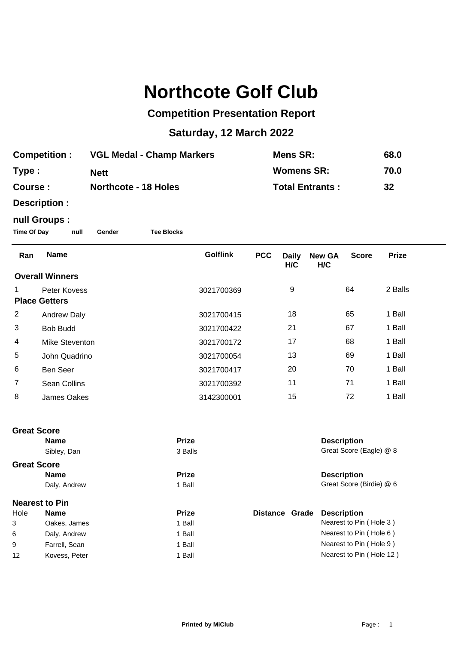## **Northcote Golf Club**

## **Competition Presentation Report**

## **Saturday, 12 March 2022**

| <b>Competition:</b><br>Type:<br>Course:                                                     |                      | <b>VGL Medal - Champ Markers</b><br><b>Nett</b><br><b>Northcote - 18 Holes</b> |  |                 | <b>Mens SR:</b><br><b>Womens SR:</b><br><b>Total Entrants:</b> |                     |                      | 68.0<br>70.0<br>32 |              |
|---------------------------------------------------------------------------------------------|----------------------|--------------------------------------------------------------------------------|--|-----------------|----------------------------------------------------------------|---------------------|----------------------|--------------------|--------------|
| Description :<br>null Groups :<br><b>Time Of Day</b><br><b>Tee Blocks</b><br>null<br>Gender |                      |                                                                                |  |                 |                                                                |                     |                      |                    |              |
| Ran                                                                                         | <b>Name</b>          |                                                                                |  | <b>Golflink</b> | <b>PCC</b>                                                     | <b>Daily</b><br>H/C | <b>New GA</b><br>H/C | <b>Score</b>       | <b>Prize</b> |
| <b>Overall Winners</b>                                                                      |                      |                                                                                |  |                 |                                                                |                     |                      |                    |              |
| 1                                                                                           | Peter Kovess         |                                                                                |  | 3021700369      |                                                                | 9                   |                      | 64                 | 2 Balls      |
|                                                                                             | <b>Place Getters</b> |                                                                                |  |                 |                                                                |                     |                      |                    |              |
| $\overline{2}$                                                                              | <b>Andrew Daly</b>   |                                                                                |  | 3021700415      |                                                                | 18                  |                      | 65                 | 1 Ball       |
| 3                                                                                           | <b>Bob Budd</b>      |                                                                                |  | 3021700422      |                                                                | 21                  |                      | 67                 | 1 Ball       |
| 4                                                                                           | Mike Steventon       |                                                                                |  | 3021700172      |                                                                | 17                  |                      | 68                 | 1 Ball       |
| 5                                                                                           | John Quadrino        |                                                                                |  | 3021700054      |                                                                | 13                  |                      | 69                 | 1 Ball       |
| 6                                                                                           | Ben Seer             |                                                                                |  | 3021700417      |                                                                | 20                  |                      | 70                 | 1 Ball       |
| 7                                                                                           | Sean Collins         |                                                                                |  | 3021700392      |                                                                | 11                  |                      | 71                 | 1 Ball       |
| 8                                                                                           | <b>James Oakes</b>   |                                                                                |  | 3142300001      |                                                                | 15                  |                      | 72                 | 1 Ball       |
| <b>Great Score</b>                                                                          |                      |                                                                                |  |                 |                                                                |                     |                      |                    |              |

|      | <b>Name</b>           | <b>Prize</b> |                          | <b>Description</b>       |  |
|------|-----------------------|--------------|--------------------------|--------------------------|--|
|      | Sibley, Dan           | 3 Balls      |                          | Great Score (Eagle) @ 8  |  |
|      | <b>Great Score</b>    |              |                          |                          |  |
|      | <b>Name</b>           | <b>Prize</b> |                          |                          |  |
|      | Daly, Andrew          | 1 Ball       |                          | Great Score (Birdie) @ 6 |  |
|      | <b>Nearest to Pin</b> |              |                          |                          |  |
| Hole | <b>Name</b>           | <b>Prize</b> | Grade<br><b>Distance</b> | <b>Description</b>       |  |
| 3    | Oakes, James          | 1 Ball       |                          | Nearest to Pin (Hole 3)  |  |
| 6    | Daly, Andrew          | 1 Ball       |                          | Nearest to Pin (Hole 6)  |  |
| 9    | Farrell, Sean         | 1 Ball       |                          | Nearest to Pin (Hole 9)  |  |
| 12   | Kovess, Peter         | 1 Ball       |                          | Nearest to Pin (Hole 12) |  |
|      |                       |              |                          |                          |  |